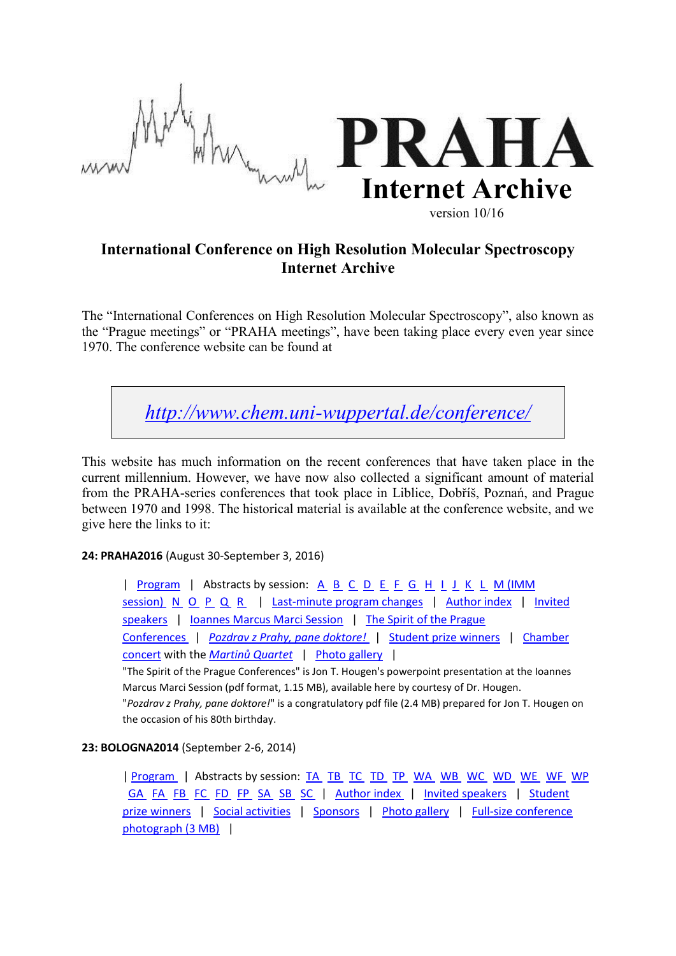

# **International Conference on High Resolution Molecular Spectroscopy Internet Archive**

The "International Conferences on High Resolution Molecular Spectroscopy", also known as the "Prague meetings" or "PRAHA meetings", have been taking place every even year since 1970. The conference website can be found at

*<http://www.chem.uni-wuppertal.de/conference/>*

This website has much information on the recent conferences that have taken place in the current millennium. However, we have now also collected a significant amount of material from the PRAHA-series conferences that took place in Liblice, Dobříš, Poznań, and Prague between 1970 and 1998. The historical material is available at the conference website, and we give here the links to it:

**24: PRAHA2016** (August 30-September 3, 2016)

| [Program](http://www.chem.uni-wuppertal.de/conference/Programs_old/PRAHA2016_Program.pdf) | Abstracts by session: [A](http://www.chem.uni-wuppertal.de/conference/Programs_old/PRAHA2016_Session_A.pdf) [B](http://www.chem.uni-wuppertal.de/conference/Programs_old/PRAHA2016_Session_B.pdf) [C](http://www.chem.uni-wuppertal.de/conference/Programs_old/PRAHA2016_Session_C.pdf) [D](http://www.chem.uni-wuppertal.de/conference/Programs_old/PRAHA2016_Session_D.pdf) [E](http://www.chem.uni-wuppertal.de/conference/Programs_old/PRAHA2016_Session_E.pdf) [F](http://www.chem.uni-wuppertal.de/conference/Programs_old/PRAHA2016_Session_F.pdf) [G](http://www.chem.uni-wuppertal.de/conference/Programs_old/PRAHA2016_Session_G.pdf) [H](http://www.chem.uni-wuppertal.de/conference/Programs_old/PRAHA2016_Session_H.pdf) [I](http://www.chem.uni-wuppertal.de/conference/Programs_old/PRAHA2016_Session_I.pdf) [J](http://www.chem.uni-wuppertal.de/conference/Programs_old/PRAHA2016_Session_J.pdf) [K](http://www.chem.uni-wuppertal.de/conference/Programs_old/PRAHA2016_Session_K.pdf) [L](http://www.chem.uni-wuppertal.de/conference/Programs_old/PRAHA2016_Session_L.pdf) M (IMM [session\)](http://www.chem.uni-wuppertal.de/conference/Programs_old/PRAHA2016_Session_M.pdf) [N](http://www.chem.uni-wuppertal.de/conference/Programs_old/PRAHA2016_Session_N.pdf) [O](http://www.chem.uni-wuppertal.de/conference/Programs_old/PRAHA2016_Session_O.pdf) [P](http://www.chem.uni-wuppertal.de/conference/Programs_old/PRAHA2016_Session_P.pdf) [Q](http://www.chem.uni-wuppertal.de/conference/Programs_old/PRAHA2016_Session_Q.pdf) [R](http://www.chem.uni-wuppertal.de/conference/Programs_old/PRAHA2016_Session_R.pdf) | [Last-minute program changes](http://www.chem.uni-wuppertal.de/conference/archives/errata_2016.pdf) | [Author index](http://www.chem.uni-wuppertal.de/conference/Programs_old/PRAHA2016_Author_Index.pdf) | Invited [speakers](http://www.chem.uni-wuppertal.de/conference/archives/invspeak_2016.html) | [Ioannes Marcus Marci Session](http://www.chem.uni-wuppertal.de/conference/archives/immsession.2016.html) | The Spirit of the Prague [Conferences](http://www.chem.uni-wuppertal.de/conference/archives/16PRAHAspirit.pdf) | *[Pozdrav z Prahy, pane doktore!](http://www.chem.uni-wuppertal.de/conference/archives/Hougen_1972_2014.pdf)* | [Student prize winners](http://www.chem.uni-wuppertal.de/conference/prizes.html#praha2016) | [Chamber](http://www.chem.uni-wuppertal.de/conference/archives/PRAHA2016_concert_program.html)  [concert](http://www.chem.uni-wuppertal.de/conference/archives/PRAHA2016_concert_program.html) with the *[Martinů Quartet](http://www.chem.uni-wuppertal.de/conference/fileserv/Martinu_Quartet_CV_2016.pdf)* | [Photo gallery](http://www.chem.uni-wuppertal.de/conference/photo2016/index.html) |

"The Spirit of the Prague Conferences" is Jon T. Hougen's powerpoint presentation at the Ioannes Marcus Marci Session (pdf format, 1.15 MB), available here by courtesy of Dr. Hougen. "*Pozdrav z Prahy, pane doktore!*" is a congratulatory pdf file (2.4 MB) prepared for Jon T. Hougen on

the occasion of his 80th birthday.

# **23: BOLOGNA2014** (September 2-6, 2014)

[| Program](http://www.chem.uni-wuppertal.de/conference/Programs_old/BOLOGNA2014_Final_Program.pdf) | Abstracts by session: [TA](http://www.chem.uni-wuppertal.de/conference/archives/BOLOGNA2014_abstracts/05TA.pdf) [TB](http://www.chem.uni-wuppertal.de/conference/archives/BOLOGNA2014_abstracts/06TB.pdf) [TC](http://www.chem.uni-wuppertal.de/conference/archives/BOLOGNA2014_abstracts/07TC.pdf) [TD](http://www.chem.uni-wuppertal.de/conference/archives/BOLOGNA2014_abstracts/08TD.pdf) [TP](http://www.chem.uni-wuppertal.de/conference/archives/BOLOGNA2014_abstracts/23TP.pdf) [WA](http://www.chem.uni-wuppertal.de/conference/archives/BOLOGNA2014_abstracts/09WA.pdf) [WB](http://www.chem.uni-wuppertal.de/conference/archives/BOLOGNA2014_abstracts/10WB.pdf) [WC](http://www.chem.uni-wuppertal.de/conference/archives/BOLOGNA2014_abstracts/11WC.pdf) [WD](http://www.chem.uni-wuppertal.de/conference/archives/BOLOGNA2014_abstracts/12WD.pdf) [WE](http://www.chem.uni-wuppertal.de/conference/archives/BOLOGNA2014_abstracts/13WE.pdf) [WF](http://www.chem.uni-wuppertal.de/conference/archives/BOLOGNA2014_abstracts/14WF.pdf) [WP](http://www.chem.uni-wuppertal.de/conference/archives/BOLOGNA2014_abstracts/24WP.pdf)  [GA](http://www.chem.uni-wuppertal.de/conference/archives/BOLOGNA2014_abstracts/15GA.pdf) [FA](http://www.chem.uni-wuppertal.de/conference/archives/BOLOGNA2014_abstracts/16FA.pdf) [FB](http://www.chem.uni-wuppertal.de/conference/archives/BOLOGNA2014_abstracts/17FB.pdf) [FC](http://www.chem.uni-wuppertal.de/conference/archives/BOLOGNA2014_abstracts/18FC.pdf) [FD](http://www.chem.uni-wuppertal.de/conference/archives/BOLOGNA2014_abstracts/19FD.pdf) [FP](http://www.chem.uni-wuppertal.de/conference/archives/BOLOGNA2014_abstracts/25FP.pdf) [SA](http://www.chem.uni-wuppertal.de/conference/archives/BOLOGNA2014_abstracts/20SA.pdf) [SB](http://www.chem.uni-wuppertal.de/conference/archives/BOLOGNA2014_abstracts/21SB.pdf) [SC](http://www.chem.uni-wuppertal.de/conference/archives/BOLOGNA2014_abstracts/22SC.pdf) | [Author index](http://www.chem.uni-wuppertal.de/conference/Programs_old/BOLOGNA2014_AuIndex.pdf) | [Invited speakers](http://www.chem.uni-wuppertal.de/conference/archives/invspeak.2014.html) | Student [prize winners](http://www.chem.uni-wuppertal.de/conference/prizes.html#bologna2014) | [Social activities](http://www.chem.uni-wuppertal.de/conference/archives/BOLOGNA2014_Social_activities.pdf) | [Sponsors](http://www.chem.uni-wuppertal.de/conference/archives/BOLOGNA2014_Sponsors.html) | [Photo gallery](http://www.chem.uni-wuppertal.de/conference/photo2014/Bologna_2014/index.html) | [Full-size conference](http://www.chem.uni-wuppertal.de/conference/photo2014/BOLOGNA2014_Participants.jpg)  [photograph \(3 MB\)](http://www.chem.uni-wuppertal.de/conference/photo2014/BOLOGNA2014_Participants.jpg) |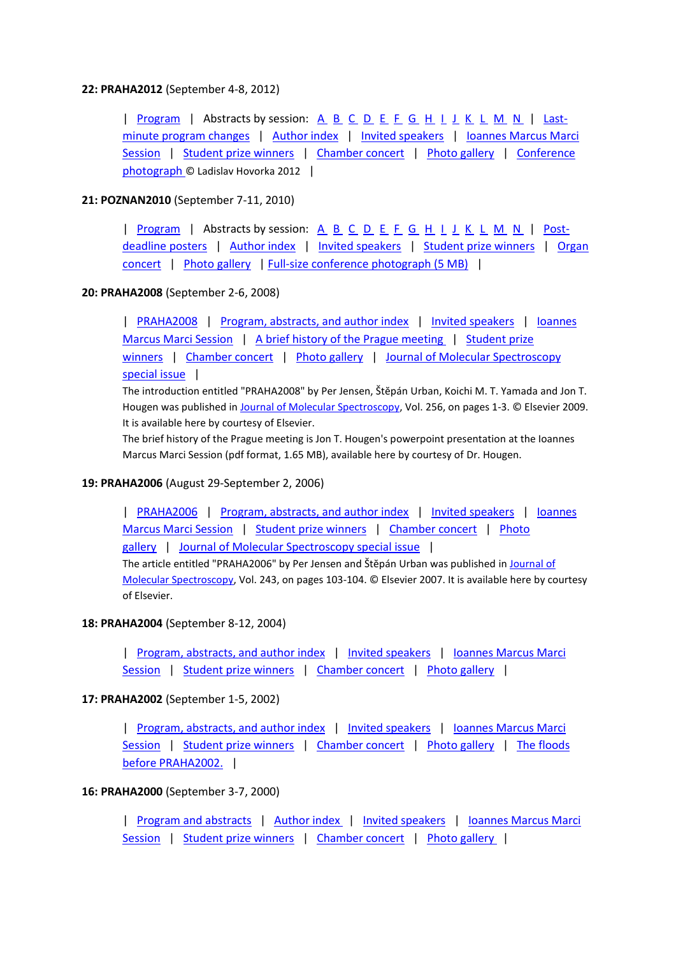# **22: PRAHA2012** (September 4-8, 2012)

| [Program](http://www.chem.uni-wuppertal.de/conference/Programs_old/PRAHA2012_Program.pdf) | Abstracts by session: [A](http://www.chem.uni-wuppertal.de/conference/Programs_old/PRAHA2012_Session_A.pdf) [B](http://www.chem.uni-wuppertal.de/conference/Programs_old/PRAHA2012_Session_B.pdf) [C](http://www.chem.uni-wuppertal.de/conference/Programs_old/PRAHA2012_Session_C.pdf) [D](http://www.chem.uni-wuppertal.de/conference/Programs_old/PRAHA2012_Session_D.pdf) [E](http://www.chem.uni-wuppertal.de/conference/Programs_old/PRAHA2012_Session_E.pdf) [F](http://www.chem.uni-wuppertal.de/conference/Programs_old/PRAHA2012_Session_F.pdf) [G](http://www.chem.uni-wuppertal.de/conference/Programs_old/PRAHA2012_Session_G.pdf) [H](http://www.chem.uni-wuppertal.de/conference/Programs_old/PRAHA2012_Session_H.pdf) [I](http://www.chem.uni-wuppertal.de/conference/Programs_old/PRAHA2012_Session_I.pdf) [J](http://www.chem.uni-wuppertal.de/conference/Programs_old/PRAHA2012_Session_J.pdf) [K](http://www.chem.uni-wuppertal.de/conference/Programs_old/PRAHA2012_Session_K.pdf) [L](http://www.chem.uni-wuppertal.de/conference/Programs_old/PRAHA2012_Session_L.pdf) [M](http://www.chem.uni-wuppertal.de/conference/Programs_old/PRAHA2012_Session_M.pdf) [N](http://www.chem.uni-wuppertal.de/conference/Programs_old/PRAHA2012_Session_N.pdf) | [Last](http://www.chem.uni-wuppertal.de/conference/archives/errata.pdf)[minute program changes](http://www.chem.uni-wuppertal.de/conference/archives/errata.pdf) | [Author index](http://www.chem.uni-wuppertal.de/conference/Programs_old/PRAHA2012_Author_Index.pdf) | [Invited speakers](http://www.chem.uni-wuppertal.de/conference/archives/invspeak.2012.html) | [Ioannes Marcus Marci](http://www.chem.uni-wuppertal.de/conference/archives/immsession.2012.html)  [Session](http://www.chem.uni-wuppertal.de/conference/archives/immsession.2012.html) | [Student prize winners](http://www.chem.uni-wuppertal.de/conference/prizes.html#praha2012) | [Chamber concert](http://www.chem.uni-wuppertal.de/conference/archives/PRAHA2012_rattay.pdf) | [Photo gallery](http://www.chem.uni-wuppertal.de/conference/photo2012/gallery_2012.html) | [Conference](https://plus.google.com/photos/117765369929337655415/albums/5784289102107131233?authkey=CJjZvqWjwcynpQE#photos/117765369929337655415/albums/5784289102107131233/5784289212847174018?authkey=CJjZvqWjwcynpQE)  [photograph](https://plus.google.com/photos/117765369929337655415/albums/5784289102107131233?authkey=CJjZvqWjwcynpQE#photos/117765369929337655415/albums/5784289102107131233/5784289212847174018?authkey=CJjZvqWjwcynpQE) © Ladislav Hovorka 2012 |

# **21: POZNAN2010** (September 7-11, 2010)

| [Program](http://www.chem.uni-wuppertal.de/conference/Programs_old/POZNAN2010_Program.pdf) | Abstracts by session: [A](http://www.chem.uni-wuppertal.de/conference/Programs_old/POZNAN2010_Session_A.pdf) [B](http://www.chem.uni-wuppertal.de/conference/Programs_old/POZNAN2010_Session_B.pdf) [C](http://www.chem.uni-wuppertal.de/conference/Programs_old/POZNAN2010_Session_C.pdf) [D](http://www.chem.uni-wuppertal.de/conference/Programs_old/POZNAN2010_Session_D.pdf) [E](http://www.chem.uni-wuppertal.de/conference/Programs_old/POZNAN2010_Session_E.pdf) [F](http://www.chem.uni-wuppertal.de/conference/Programs_old/POZNAN2010_Session_F.pdf) [G](http://www.chem.uni-wuppertal.de/conference/Programs_old/POZNAN2010_Session_G.pdf) [H](http://www.chem.uni-wuppertal.de/conference/Programs_old/POZNAN2010_Session_H.pdf) [I](http://www.chem.uni-wuppertal.de/conference/Programs_old/POZNAN2010_Session_I.pdf) [J](http://www.chem.uni-wuppertal.de/conference/Programs_old/POZNAN2010_Session_J.pdf) [K](http://www.chem.uni-wuppertal.de/conference/Programs_old/POZNAN2010_Session_K.pdf) [L](http://www.chem.uni-wuppertal.de/conference/Programs_old/POZNAN2010_Session_L.pdf) [M](http://www.chem.uni-wuppertal.de/conference/Programs_old/POZNAN2010_Session_M.pdf) [N](http://www.chem.uni-wuppertal.de/conference/Programs_old/POZNAN2010_Session_N.pdf) | [Post](http://www.chem.uni-wuppertal.de/conference/Programs_old/POZNAN2010_Postdeadline.pdf)[deadline posters](http://www.chem.uni-wuppertal.de/conference/Programs_old/POZNAN2010_Postdeadline.pdf) | [Author index](http://www.chem.uni-wuppertal.de/conference/archives/POZNAN2010_author_index.pdf) | [Invited speakers](http://www.chem.uni-wuppertal.de/conference/archives/invspeak.2010.html) | [Student prize winners](http://www.chem.uni-wuppertal.de/conference/prizes.html#poznan2010) | [Organ](http://www.chem.uni-wuppertal.de/conference/archives/Organ_Concert_Poznan2010.pdf)  [concert](http://www.chem.uni-wuppertal.de/conference/archives/Organ_Concert_Poznan2010.pdf) | [Photo gallery](http://www.chem.uni-wuppertal.de/conference/Photo-Poznan2010/index.html) | [Full-size conference photograph \(5 MB\)](http://www.chem.uni-wuppertal.de/conference/Photo-Poznan2010/POZNAN2010_photo_fullsize.jpg) |

# **20: PRAHA2008** (September 2-6, 2008)

| [PRAHA2008](http://www.chem.uni-wuppertal.de/conference/archives/PRAHA2008_Introduction_for_Web.pdf) | [Program, abstracts, and author index](http://www.chem.uni-wuppertal.de/conference/archives/program.2008.html) | [Invited speakers](http://www.chem.uni-wuppertal.de/conference/archives/invspeak.2008.html) | [Ioannes](http://www.chem.uni-wuppertal.de/conference/archives/immsession.2008.html)  [Marcus Marci Session](http://www.chem.uni-wuppertal.de/conference/archives/immsession.2008.html) | [A brief history of the Prague meeting](http://www.chem.uni-wuppertal.de/conference/archives/08PrgHistory.pdf) | Student prize [winners](http://www.chem.uni-wuppertal.de/conference/prizes.html#praha2008) | [Chamber concert](http://www.chem.uni-wuppertal.de/conference/archives/concert.2008.html) | [Photo gallery](http://www.chem.uni-wuppertal.de/conference/photo2008/Welcome.html) | [Journal of Molecular Spectroscopy](http://www.sciencedirect.com/science?_ob=PublicationURL&_tockey=%23TOC%236900%232009%23997439998%231318084%23FLA%23&_cdi=6900&_pubType=J&_auth=y&_acct=C000050221&_version=1&_urlVersion=0&_userid=10&md5=3fd3a27a8f9386a51d7787596eac6726)  [special issue](http://www.sciencedirect.com/science?_ob=PublicationURL&_tockey=%23TOC%236900%232009%23997439998%231318084%23FLA%23&_cdi=6900&_pubType=J&_auth=y&_acct=C000050221&_version=1&_urlVersion=0&_userid=10&md5=3fd3a27a8f9386a51d7787596eac6726) |

The introduction entitled "PRAHA2008" by Per Jensen, Štĕpán Urban, Koichi M. T. Yamada and Jon T. Hougen was published in [Journal of Molecular Spectroscopy,](http://www.sciencedirect.com/science/journal/00222852) Vol. 256, on pages 1-3. © Elsevier 2009. It is available here by courtesy of Elsevier.

The brief history of the Prague meeting is Jon T. Hougen's powerpoint presentation at the Ioannes Marcus Marci Session (pdf format, 1.65 MB), available here by courtesy of Dr. Hougen.

# **19: PRAHA2006** (August 29-September 2, 2006)

| [PRAHA2006](http://www.chem.uni-wuppertal.de/conference/archives/PRAHA2006_Introduction.pdf) | [Program, abstracts, and author index](http://www.chem.uni-wuppertal.de/conference/archives/program.2006.html) | [Invited speakers](http://www.chem.uni-wuppertal.de/conference/archives/invspeak.2006.html) | [Ioannes](http://www.chem.uni-wuppertal.de/conference/archives/immsession.2006.html)  [Marcus Marci Session](http://www.chem.uni-wuppertal.de/conference/archives/immsession.2006.html) | [Student prize winners](http://www.chem.uni-wuppertal.de/conference/prizes.html#praha2006) | [Chamber concert](http://www.chem.uni-wuppertal.de/conference/archives/concert.2006.html) | [Photo](http://www.chem.uni-wuppertal.de/conference/photo2006/Welcome.html)  [gallery](http://www.chem.uni-wuppertal.de/conference/photo2006/Welcome.html) | [Journal of Molecular Spectroscopy special issue](http://www.sciencedirect.com/science?_ob=PublicationURL&_tockey=%23TOC%236900%232007%23997569997%23663831%23FLA%23&_cdi=6900&_pubType=J&view=c&_auth=y&_acct=C000050221&_version=1&_urlVersion=0&_userid=10&md5=5fa034fc27ddc71f3f441f34f37ca2e6) |

The article entitled "PRAHA2006" by Per Jensen and Štĕpán Urban was published in [Journal of](http://www.sciencedirect.com/science/journal/00222852)  [Molecular Spectroscopy,](http://www.sciencedirect.com/science/journal/00222852) Vol. 243, on pages 103-104. © Elsevier 2007. It is available here by courtesy of Elsevier.

# **18: PRAHA2004** (September 8-12, 2004)

| [Program, abstracts, and author index](http://www.chem.uni-wuppertal.de/conference/archives/program.2004.html) | [Invited speakers](http://www.chem.uni-wuppertal.de/conference/archives/invspeak.2004.html) | [Ioannes Marcus Marci](http://www.chem.uni-wuppertal.de/conference/archives/immsession.2004.html)  [Session](http://www.chem.uni-wuppertal.de/conference/archives/immsession.2004.html) | [Student prize winners](http://www.chem.uni-wuppertal.de/conference/prizes.html#praha2004) | [Chamber concert](http://www.chem.uni-wuppertal.de/conference/archives/concert.2004.html) | [Photo gallery](http://www.chem.uni-wuppertal.de/conference/photo2004/Welcome.html) |

### **17: PRAHA2002** (September 1-5, 2002)

| [Program, abstracts, and author index](http://www.chem.uni-wuppertal.de/conference/archives/program.2002.html) | [Invited speakers](http://www.chem.uni-wuppertal.de/conference/archives/invspeak.2002.html) | [Ioannes Marcus Marci](http://www.chem.uni-wuppertal.de/conference/archives/immsession.2002.html)  [Session](http://www.chem.uni-wuppertal.de/conference/archives/immsession.2002.html) | [Student prize winners](http://www.chem.uni-wuppertal.de/conference/prizes.html#praha2002) | [Chamber concert](http://www.chem.uni-wuppertal.de/conference/archives/concert.2002.html) | [Photo gallery](http://www.chem.uni-wuppertal.de/conference/photo2002/Welcome.html) | [The floods](http://www.chem.uni-wuppertal.de/conference/flooding.html)  [before PRAHA2002.](http://www.chem.uni-wuppertal.de/conference/flooding.html) |

# **16: PRAHA2000** (September 3-7, 2000)

| [Program and abstracts](http://www.chem.uni-wuppertal.de/conference/old_programs/praha00/BoA/book_of_abstracts.html) | [Author index](http://www.chem.uni-wuppertal.de/conference/old_programs/praha00/BoA/aindex.html) | [Invited speakers](http://www.chem.uni-wuppertal.de/conference/archives/invspeak.2000.html) | [Ioannes Marcus Marci](http://www.chem.uni-wuppertal.de/conference/archives/kroto_abs.2000.html)  [Session](http://www.chem.uni-wuppertal.de/conference/archives/kroto_abs.2000.html) | [Student prize winners](http://www.chem.uni-wuppertal.de/conference/prizes.html#praha2000) | [Chamber concert](http://www.chem.uni-wuppertal.de/conference/archives/concert.2000.html) | [Photo gallery](http://www.chem.uni-wuppertal.de/conference/photo_old/PRAHA2000/index.html) |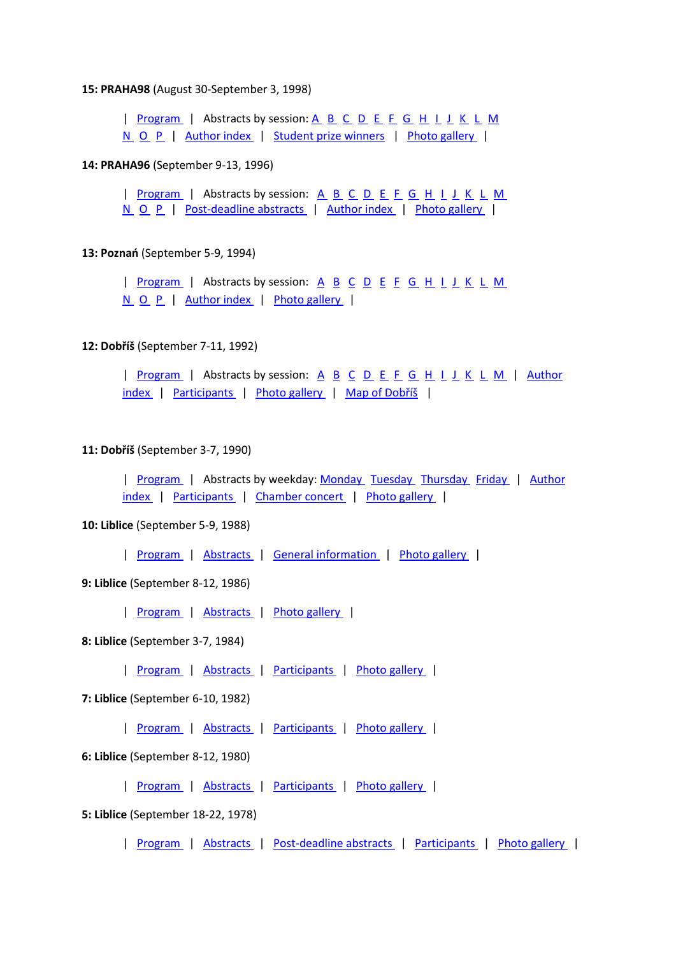#### **15: PRAHA98** (August 30-September 3, 1998)

| [Program](http://www.chem.uni-wuppertal.de/conference/Programs_old/Program_PRAHA98.pdf) | Abstracts by session: [A](http://www.chem.uni-wuppertal.de/conference/Programs_old/PRAHA98_Session_A.pdf) [B](http://www.chem.uni-wuppertal.de/conference/Programs_old/PRAHA98_Session_B.pdf) [C](http://www.chem.uni-wuppertal.de/conference/Programs_old/PRAHA98_Session_C.pdf) [D](http://www.chem.uni-wuppertal.de/conference/Programs_old/PRAHA98_Session_D.pdf) [E](http://www.chem.uni-wuppertal.de/conference/Programs_old/PRAHA98_Session_E.pdf) [F](http://www.chem.uni-wuppertal.de/conference/Programs_old/PRAHA98_Session_F.pdf) [G](http://www.chem.uni-wuppertal.de/conference/Programs_old/PRAHA98_Session_G.pdf) [H](http://www.chem.uni-wuppertal.de/conference/Programs_old/PRAHA98_Session_H.pdf) [I](http://www.chem.uni-wuppertal.de/conference/Programs_old/PRAHA98_Session_I.pdf) [J](http://www.chem.uni-wuppertal.de/conference/Programs_old/PRAHA98_Session_J.pdf) [K](http://www.chem.uni-wuppertal.de/conference/Programs_old/PRAHA98_Session_K.pdf) [L](http://www.chem.uni-wuppertal.de/conference/Programs_old/PRAHA98_Session_L.pdf) [M](http://www.chem.uni-wuppertal.de/conference/Programs_old/PRAHA98_Session_M.pdf)  [N](http://www.chem.uni-wuppertal.de/conference/Programs_old/PRAHA98_Session_N.pdf) [O](http://www.chem.uni-wuppertal.de/conference/Programs_old/PRAHA98_Session_O.pdf) [P](http://www.chem.uni-wuppertal.de/conference/Programs_old/PRAHA98_Session_P.pdf) | [Author index](http://www.chem.uni-wuppertal.de/conference/Programs_old/Author_Index_PRAHA98.pdf) | [Student prize winners](http://www.chem.uni-wuppertal.de/conference/prizes.html#praha98) | [Photo gallery](http://www.chem.uni-wuppertal.de/conference/photo_old/PRAHA98/index.html) |

#### **14: PRAHA96** (September 9-13, 1996)

| [Program](http://www.chem.uni-wuppertal.de/conference/Programs_old/Program_PRAHA96.pdf) | Abstracts by session: [A](http://www.chem.uni-wuppertal.de/conference/Programs_old/PRAHA96_Session_A.pdf) [B](http://www.chem.uni-wuppertal.de/conference/Programs_old/PRAHA96_Session_B.pdf) [C](http://www.chem.uni-wuppertal.de/conference/Programs_old/PRAHA96_Session_C.pdf) [D](http://www.chem.uni-wuppertal.de/conference/Programs_old/PRAHA96_Session_D.pdf) [E](http://www.chem.uni-wuppertal.de/conference/Programs_old/PRAHA96_Session_E.pdf) [F](http://www.chem.uni-wuppertal.de/conference/Programs_old/PRAHA96_Session_F.pdf) [G](http://www.chem.uni-wuppertal.de/conference/Programs_old/PRAHA96_Session_G.pdf) [H](http://www.chem.uni-wuppertal.de/conference/Programs_old/PRAHA96_Session_H.pdf) [I](http://www.chem.uni-wuppertal.de/conference/Programs_old/PRAHA96_Session_I.pdf) [J](http://www.chem.uni-wuppertal.de/conference/Programs_old/PRAHA96_Session_J.pdf) [K](http://www.chem.uni-wuppertal.de/conference/Programs_old/PRAHA96_Session_K.pdf) [L](http://www.chem.uni-wuppertal.de/conference/Programs_old/PRAHA96_Session_L.pdf) [M](http://www.chem.uni-wuppertal.de/conference/Programs_old/PRAHA96_Session_M.pdf)  [N](http://www.chem.uni-wuppertal.de/conference/Programs_old/PRAHA96_Session_N.pdf) [O](http://www.chem.uni-wuppertal.de/conference/Programs_old/PRAHA96_Session_O.pdf) [P](http://www.chem.uni-wuppertal.de/conference/Programs_old/PRAHA96_Session_P.pdf) | [Post-deadline abstracts](http://www.chem.uni-wuppertal.de/conference/Programs_old/PRAHA96_Post_Deadline.pdf) | [Author index](http://www.chem.uni-wuppertal.de/conference/Programs_old/Author_Index_PRAHA96.pdf) | [Photo gallery](http://www.chem.uni-wuppertal.de/conference/photo_old/PRAHA96/index.html) |

#### **13: Poznań** (September 5-9, 1994)

| [Program](http://www.chem.uni-wuppertal.de/conference/Programs_old/Program_Poznan_1994.pdf) | [A](http://www.chem.uni-wuppertal.de/conference/Programs_old/Poznan_1994_Session_A.pdf)bstracts by session:  $\underline{A}$   $\underline{B}$  $\underline{B}$  $\underline{B}$   $\underline{C}$  $\underline{C}$  $\underline{C}$   $\underline{D}$  $\underline{D}$  $\underline{D}$   $\underline{E}$  $\underline{E}$  $\underline{E}$   $\underline{F}$  $\underline{F}$  $\underline{F}$   $\underline{G}$   $\underline{H}$   $\underline{I}$   $\underline{J}$   $\underline{K}$   $\underline{L}$   $\underline{M}$ [N](http://www.chem.uni-wuppertal.de/conference/Programs_old/Poznan_1994_Session_N.pdf) [O](http://www.chem.uni-wuppertal.de/conference/Programs_old/Poznan_1994_Session_O.pdf) [P](http://www.chem.uni-wuppertal.de/conference/Programs_old/Poznan_1994_Session_P.pdf) | [Author index](http://www.chem.uni-wuppertal.de/conference/Programs_old/Author_Index_Poznan_1994.pdf) | [Photo gallery](http://www.chem.uni-wuppertal.de/conference/photo_old/Poznan_1994/index.html) |

### **12: Dobříš** (September 7-11, 1992)

| [Program](http://www.chem.uni-wuppertal.de/conference/Programs_old/Program_Dobris_1992.pdf) | [A](http://www.chem.uni-wuppertal.de/conference/Programs_old/Dobris_1992_Session_A.pdf)bstracts by session: A [B](http://www.chem.uni-wuppertal.de/conference/Programs_old/Dobris_1992_Session_B.pdf) [C](http://www.chem.uni-wuppertal.de/conference/Programs_old/Dobris_1992_Session_C.pdf) [D](http://www.chem.uni-wuppertal.de/conference/Programs_old/Dobris_1992_Session_D.pdf) [E](http://www.chem.uni-wuppertal.de/conference/Programs_old/Dobris_1992_Session_E.pdf) [F](http://www.chem.uni-wuppertal.de/conference/Programs_old/Dobris_1992_Session_F.pdf) [G](http://www.chem.uni-wuppertal.de/conference/Programs_old/Dobris_1992_Session_G.pdf) [H](http://www.chem.uni-wuppertal.de/conference/Programs_old/Dobris_1992_Session_H.pdf) [I](http://www.chem.uni-wuppertal.de/conference/Programs_old/Dobris_1992_Session_I.pdf) [J](http://www.chem.uni-wuppertal.de/conference/Programs_old/Dobris_1992_Session_J.pdf) [K](http://www.chem.uni-wuppertal.de/conference/Programs_old/Dobris_1992_Session_K.pdf) [L](http://www.chem.uni-wuppertal.de/conference/Programs_old/Dobris_1992_Session_L.pdf) [M](http://www.chem.uni-wuppertal.de/conference/Programs_old/Dobris_1992_Session_M.pdf) | Author [index](http://www.chem.uni-wuppertal.de/conference/Programs_old/Author_Index_Dobris_1992.pdf) | [Participants](http://www.chem.uni-wuppertal.de/conference/Programs_old/Dobris_1992_Participants.pdf) | [Photo gallery](http://www.chem.uni-wuppertal.de/conference/photo_old/Dobris_1992/index.html) | [Map of Dobříš](http://www.chem.uni-wuppertal.de/conference/Programs_old/Dobris_1992_Map.pdf) |

#### **11: Dobříš** (September 3-7, 1990)

| [Program](http://www.chem.uni-wuppertal.de/conference/Programs_old/Program_Dobris_1990.pdf) | Abstracts by weekday: [Monday](http://www.chem.uni-wuppertal.de/conference/Programs_old/Dobris_1990_Monday_Abstracts.pdf) [Tuesday](http://www.chem.uni-wuppertal.de/conference/Programs_old/Dobris_1990_Tuesday_Abstracts.pdf) [Thursday](http://www.chem.uni-wuppertal.de/conference/Programs_old/Dobris_1990_Thursday_Abstracts.pdf) [Friday](http://www.chem.uni-wuppertal.de/conference/Programs_old/Dobris_1990_Friday_Abstracts.pdf) | Author [index](http://www.chem.uni-wuppertal.de/conference/Programs_old/Author_Index_Dobris_1990.pdf) | [Participants](http://www.chem.uni-wuppertal.de/conference/Programs_old/Dobris_1990_Participants.pdf) | [Chamber concert](http://www.chem.uni-wuppertal.de/conference/Programs_old/Dobris_1990_Chamber_Concert.pdf) | [Photo gallery](http://www.chem.uni-wuppertal.de/conference/photo_old/Dobris_1990/index.html) |

### **10: Liblice** (September 5-9, 1988)

| [Program](http://www.chem.uni-wuppertal.de/conference/Programs_old/Program_Liblice_1988.pdf) | [Abstracts](http://www.chem.uni-wuppertal.de/conference/Programs_old/Liblice_1988_Abstracts.pdf) | [General information](http://www.chem.uni-wuppertal.de/conference/Programs_old/Liblice_1988_General_Information.pdf) | [Photo gallery](http://www.chem.uni-wuppertal.de/conference/photo_old/Liblice_1988/index.html) |

#### **9: Liblice** (September 8-12, 1986)

| [Program](http://www.chem.uni-wuppertal.de/conference/Programs_old/Program_Liblice_1986.pdf) | [Abstracts](http://www.chem.uni-wuppertal.de/conference/Programs_old/Liblice_1986_Abstracts.pdf) | [Photo gallery](http://www.chem.uni-wuppertal.de/conference/photo_old/Liblice_1986/index.html) |

# **8: Liblice** (September 3-7, 1984)

| [Program](http://www.chem.uni-wuppertal.de/conference/Programs_old/Program_Liblice_1984.pdf) | [Abstracts](http://www.chem.uni-wuppertal.de/conference/Programs_old/Liblice_1984_Abstracts.pdf) | [Participants](http://www.chem.uni-wuppertal.de/conference/Programs_old/Liblice_1984_Participants.pdf) | [Photo gallery](http://www.chem.uni-wuppertal.de/conference/photo_old/Liblice_1984/index.html) |

# **7: Liblice** (September 6-10, 1982)

| [Program](http://www.chem.uni-wuppertal.de/conference/Programs_old/Program_Liblice_1982.pdf) | [Abstracts](http://www.chem.uni-wuppertal.de/conference/Programs_old/Liblice_1982_Abstracts.pdf) | [Participants](http://www.chem.uni-wuppertal.de/conference/Programs_old/Liblice_1982_Participants.pdf) | [Photo gallery](http://www.chem.uni-wuppertal.de/conference/photo_old/Liblice_1982/index.html) |

## **6: Liblice** (September 8-12, 1980)

| [Program](http://www.chem.uni-wuppertal.de/conference/Programs_old/Program_Liblice_1980.pdf) | [Abstracts](http://www.chem.uni-wuppertal.de/conference/Programs_old/Liblice_1980_Abstracts.pdf) | [Participants](http://www.chem.uni-wuppertal.de/conference/Programs_old/Liblice_1980_Participants.pdf) | [Photo gallery](http://www.chem.uni-wuppertal.de/conference/photo_old/Liblice_1980/index.html) |

# **5: Liblice** (September 18-22, 1978)

| [Program](http://www.chem.uni-wuppertal.de/conference/Programs_old/Liblice_1978_Program.pdf) | [Abstracts](http://www.chem.uni-wuppertal.de/conference/Programs_old/Liblice_1978_Abstracts.pdf) | [Post-deadline abstracts](http://www.chem.uni-wuppertal.de/conference/Programs_old/Liblice_1978_Postdeadline.pdf) | [Participants](http://www.chem.uni-wuppertal.de/conference/Programs_old/Liblice_1978_Participants.pdf) | [Photo gallery](http://www.chem.uni-wuppertal.de/conference/photo_old/Liblice_1978/index.html) |